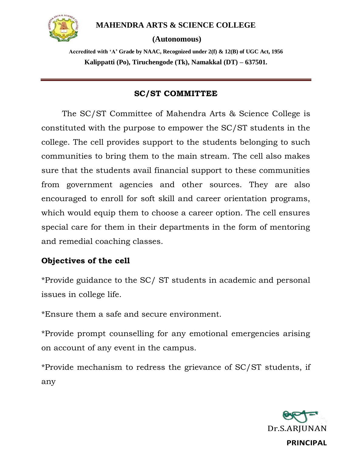

## **MAHENDRA ARTS & SCIENCE COLLEGE**

#### **(Autonomous)**

**Accredited with 'A' Grade by NAAC, Recognized under 2(f) & 12(B) of UGC Act, 1956 Kalippatti (Po), Tiruchengode (Tk), Namakkal (DT) – 637501.**

## **SC/ST COMMITTEE**

The SC/ST Committee of Mahendra Arts & Science College is constituted with the purpose to empower the SC/ST students in the college. The cell provides support to the students belonging to such communities to bring them to the main stream. The cell also makes sure that the students avail financial support to these communities from government agencies and other sources. They are also encouraged to enroll for soft skill and career orientation programs, which would equip them to choose a career option. The cell ensures special care for them in their departments in the form of mentoring and remedial coaching classes.

# **Objectives of the cell**

\*Provide guidance to the SC/ ST students in academic and personal issues in college life.

\*Ensure them a safe and secure environment.

\*Provide prompt counselling for any emotional emergencies arising on account of any event in the campus.

\*Provide mechanism to redress the grievance of SC/ST students, if any